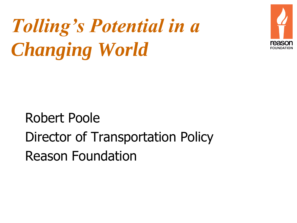



## Robert Poole Director of Transportation Policy Reason Foundation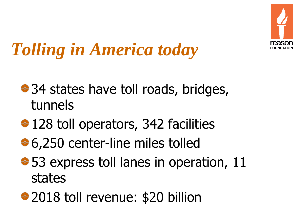

# *Tolling in America today*

- **♦ 34 states have toll roads, bridges,** tunnels
- **♦ 128 toll operators, 342 facilities**
- $\bigoplus$  **6,250 center-line miles tolled**
- $\div$  **53 express toll lanes in operation, 11** states
- ◆ 2018 toll revenue: \$20 billion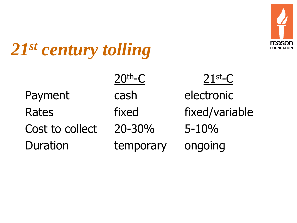

## *21st century tolling*

|                 | $20th-C$  | $21$ st <sub>-C</sub> |
|-----------------|-----------|-----------------------|
| Payment         | cash      | electronic            |
| <b>Rates</b>    | fixed     | fixed/variable        |
| Cost to collect | 20-30%    | $5 - 10%$             |
| <b>Duration</b> | temporary | ongoing               |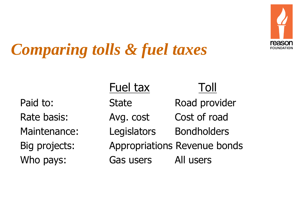

## *Comparing tolls & fuel taxes*

Fuel tax Toll Paid to: State Road provider Rate basis: Avg. cost Cost of road Maintenance: Legislators Bondholders Big projects: Appropriations Revenue bonds Who pays: Gas users All users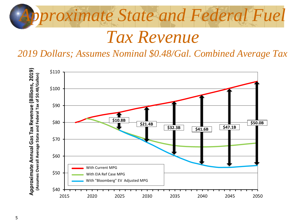

### *Tax Revenue*

#### *2019 Dollars; Assumes Nominal \$0.48/Gal. Combined Average Tax*

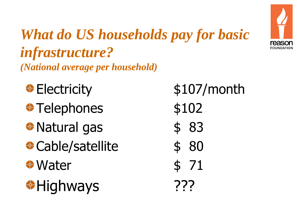

### *What do US households pay for basic infrastructure? (National average per household)*

- **⊕**Electricity \$107/month  $\bullet$  Telephones  $$102$ ◆ Natural gas \$ 83 **Cable/satellite** \$ 80  $\bullet$  Water  $\bullet$  71 **<sup>◆</sup>Highways** ???
	-
	-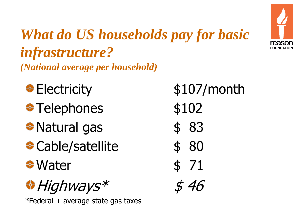

### *What do US households pay for basic infrastructure? (National average per household)*

- **⊕**Electricity \$107/month  $\bullet$  Telephones  $$102$
- ◆ Natural gas \$ 83
- **Cable/satellite** \$ 80
- $\bullet$  Water  $\bullet$  71

 $\bigoplus$  Highways  $*$  \$ 46

 $*$ Federal + average state gas taxes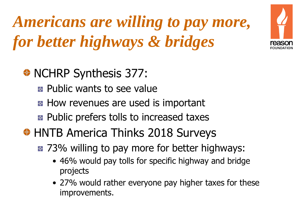*Americans are willing to pay more, for better highways & bridges*



- **E** Public wants to see value
- **How revenues are used is important**
- **E** Public prefers tolls to increased taxes
- ◆ HNTB America Thinks 2018 Surveys
	- $\approx$  **73% willing to pay more for better highways:** 
		- 46% would pay tolls for specific highway and bridge projects
		- 27% would rather everyone pay higher taxes for these improvements.

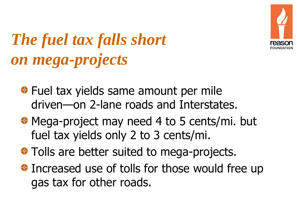

## *The fuel tax falls short on mega-projects*

- **◆ Fuel tax yields same amount per mile** driven—on 2-lane roads and Interstates.
- ◆ Mega-project may need 4 to 5 cents/mi. but fuel tax yields only 2 to 3 cents/mi.
- **◆ Tolls are better suited to mega-projects.**
- **Increased use of tolls for those would free up** gas tax for other roads.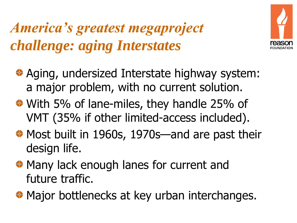### *America's greatest megaproject challenge: aging Interstates*



- ◆ Aging, undersized Interstate highway system: a major problem, with no current solution.
- With 5% of lane-miles, they handle 25% of VMT (35% if other limited-access included).
- Most built in 1960s, 1970s—and are past their design life.
- ◆ Many lack enough lanes for current and future traffic.
- ◆ Major bottlenecks at key urban interchanges.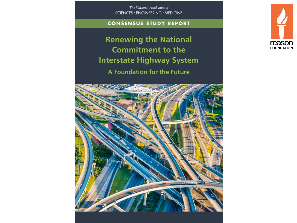The National Academies of SCIENCES · ENGINEERING · MEDICINE

#### **CONSENSUS STUDY REPORT**

**Renewing the National Commitment to the Interstate Highway System** A Foundation for the Future



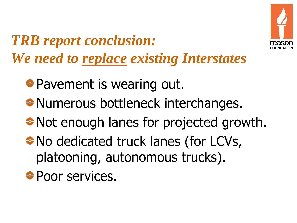

*TRB report conclusion: We need to replace existing Interstates*

**◆ Pavement is wearing out.** 

- **\* Numerous bottleneck interchanges.**
- Not enough lanes for projected growth.
- No dedicated truck lanes (for LCVs, platooning, autonomous trucks).
- **Poor services.**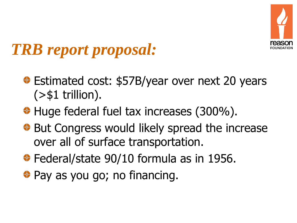

## *TRB report proposal:*

- **Estimated cost: \$57B/year over next 20 years**  $($ >\$1 trillion).
- Huge federal fuel tax increases (300%).
- ◆ But Congress would likely spread the increase over all of surface transportation.
- ◆ Federal/state 90/10 formula as in 1956.
- ◆ Pay as you go; no financing.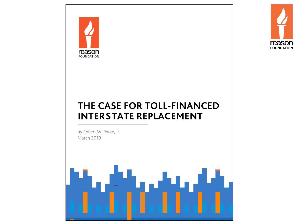



### THE CASE FOR TOLL-FINANCED **INTERSTATE REPLACEMENT**

by Robert W. Poole, Jr. **March 2019** 

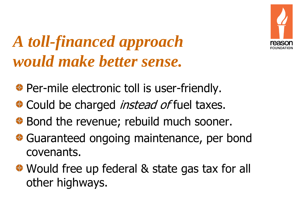

## *A toll-financed approach would make better sense.*

- ◆ Per-mile electronic toll is user-friendly.
- Could be charged *instead of* fuel taxes.
- ◆ Bond the revenue; rebuild much sooner.
- **♦ Guaranteed ongoing maintenance, per bond** covenants.
- ◆ Would free up federal & state gas tax for all other highways.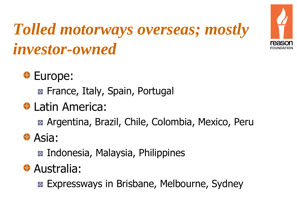



### **<sup>♦</sup>** Europe:

**E** France, Italy, Spain, Portugal

### **♦ Latin America:**

**Argentina, Brazil, Chile, Colombia, Mexico, Peru** 

### **♦ Asia:**

**E** Indonesia, Malaysia, Philippines

### **♦ Australia:**

**EXPECESS SANGES IN Brisbane, Melbourne, Sydney**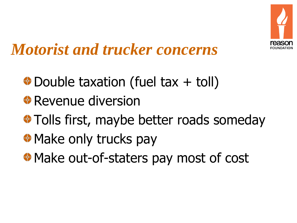

## *Motorist and trucker concerns*

- $\bullet$  Double taxation (fuel tax + toll)
- *<b>* Revenue diversion
- **Tolls first, maybe better roads someday**
- **<sup>◆</sup> Make only trucks pay**
- **<sup>◆</sup> Make out-of-staters pay most of cost**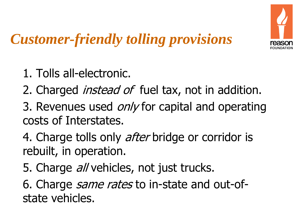

### *Customer-friendly tolling provisions*

- 1. Tolls all-electronic.
- 2. Charged *instead of* fuel tax, not in addition.
- 3. Revenues used *only* for capital and operating costs of Interstates.
- 4. Charge tolls only *after* bridge or corridor is rebuilt, in operation.
- 5. Charge *all* vehicles, not just trucks.

6. Charge *same rates* to in-state and out-ofstate vehicles.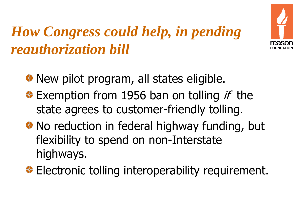

## *How Congress could help, in pending reauthorization bill*

- ◆ New pilot program, all states eligible.
- $\bullet$  Exemption from 1956 ban on tolling *if* the state agrees to customer-friendly tolling.
- No reduction in federal highway funding, but flexibility to spend on non-Interstate highways.
- **Electronic tolling interoperability requirement.**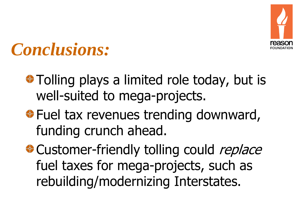

## *Conclusions:*

- **\*** Tolling plays a limited role today, but is well-suited to mega-projects.
- **⊕ Fuel tax revenues trending downward,** funding crunch ahead.
- **Customer-friendly tolling could replace** fuel taxes for mega-projects, such as rebuilding/modernizing Interstates.